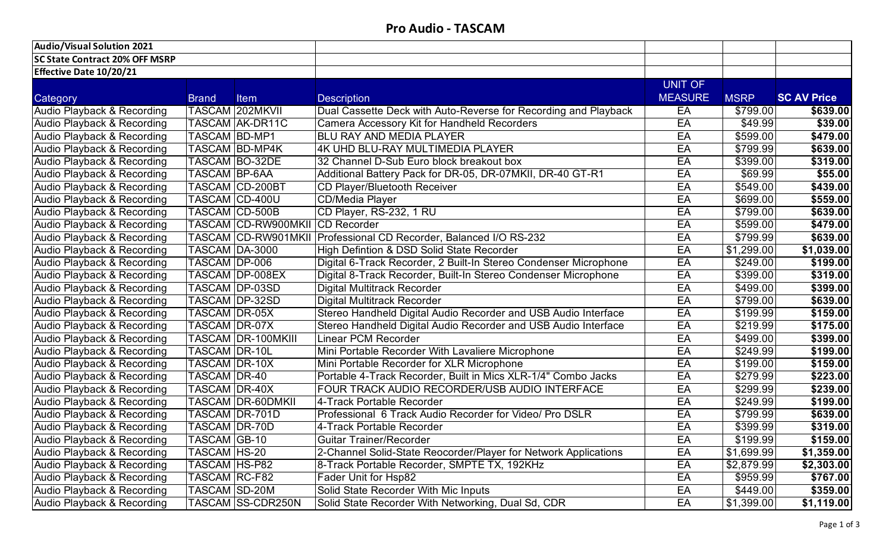## **Pro Audio - TASCAM**

| <b>Audio/Visual Solution 2021</b>     |                      |                            |                                                                  |                |                      |                    |
|---------------------------------------|----------------------|----------------------------|------------------------------------------------------------------|----------------|----------------------|--------------------|
| <b>SC State Contract 20% OFF MSRP</b> |                      |                            |                                                                  |                |                      |                    |
| <b>Effective Date 10/20/21</b>        |                      |                            |                                                                  |                |                      |                    |
|                                       |                      |                            |                                                                  | <b>UNIT OF</b> |                      |                    |
| Category                              | <b>Brand</b>         | <b>Item</b>                | <b>Description</b>                                               | <b>MEASURE</b> | <b>MSRP</b>          | <b>SC AV Price</b> |
| Audio Playback & Recording            |                      | <b>TASCAM 202MKVII</b>     | Dual Cassette Deck with Auto-Reverse for Recording and Playback  | EA             | \$799.00             | \$639.00           |
| Audio Playback & Recording            |                      | <b>TASCAM AK-DR11C</b>     | Camera Accessory Kit for Handheld Recorders                      | EA             | \$49.99              | \$39.00            |
| <b>Audio Playback &amp; Recording</b> | <b>TASCAM BD-MP1</b> |                            | <b>BLU RAY AND MEDIA PLAYER</b>                                  | EA             | \$599.00             | \$479.00           |
| <b>Audio Playback &amp; Recording</b> |                      | <b>TASCAM BD-MP4K</b>      | 4K UHD BLU-RAY MULTIMEDIA PLAYER                                 | EA             | \$799.99             | \$639.00           |
| Audio Playback & Recording            |                      | <b>TASCAM BO-32DE</b>      | 32 Channel D-Sub Euro block breakout box                         | EA             | \$399.00             | \$319.00           |
| Audio Playback & Recording            | <b>TASCAM BP-6AA</b> |                            | Additional Battery Pack for DR-05, DR-07MKII, DR-40 GT-R1        | EA             | \$69.99              | \$55.00            |
| Audio Playback & Recording            |                      | <b>TASCAM CD-200BT</b>     | CD Player/Bluetooth Receiver                                     | EA             | \$549.00             | \$439.00           |
| Audio Playback & Recording            |                      | TASCAM CD-400U             | <b>CD/Media Player</b>                                           | EA             | \$699.00             | \$559.00           |
| Audio Playback & Recording            |                      | TASCAM CD-500B             | CD Player, RS-232, 1 RU                                          | EA             | \$799.00             | \$639.00           |
| Audio Playback & Recording            |                      | <b>TASCAM CD-RW900MKII</b> | <b>CD</b> Recorder                                               | EA             | \$599.00             | \$479.00           |
| Audio Playback & Recording            |                      | TASCAM CD-RW901MKII        | Professional CD Recorder, Balanced I/O RS-232                    | EA             | \$799.99             | \$639.00           |
| Audio Playback & Recording            | TASCAM DA-3000       |                            | High Defintion & DSD Solid State Recorder                        | EA             | \$1,299.00           | \$1,039.00         |
| Audio Playback & Recording            | TASCAM DP-006        |                            | Digital 6-Track Recorder, 2 Built-In Stereo Condenser Microphone | EA             | \$249.00             | \$199.00           |
| Audio Playback & Recording            |                      | <b>TASCAM DP-008EX</b>     | Digital 8-Track Recorder, Built-In Stereo Condenser Microphone   | EA             | \$399.00             | \$319.00           |
| <b>Audio Playback &amp; Recording</b> |                      | <b>TASCAM DP-03SD</b>      | Digital Multitrack Recorder                                      | EA             | \$499.00             | \$399.00           |
| Audio Playback & Recording            |                      | <b>TASCAM DP-32SD</b>      | Digital Multitrack Recorder                                      | EA             | \$799.00             | \$639.00           |
| Audio Playback & Recording            | <b>TASCAM DR-05X</b> |                            | Stereo Handheld Digital Audio Recorder and USB Audio Interface   | EA             | \$199.99             | \$159.00           |
| Audio Playback & Recording            | <b>TASCAM DR-07X</b> |                            | Stereo Handheld Digital Audio Recorder and USB Audio Interface   | EA             | \$219.99             | \$175.00           |
| Audio Playback & Recording            |                      | <b>TASCAM DR-100MKIII</b>  | <b>Linear PCM Recorder</b>                                       | EA             | \$499.00             | \$399.00           |
| Audio Playback & Recording            | <b>TASCAM DR-10L</b> |                            | Mini Portable Recorder With Lavaliere Microphone                 | EA             | \$249.99             | \$199.00           |
| Audio Playback & Recording            | <b>TASCAM DR-10X</b> |                            | Mini Portable Recorder for XLR Microphone                        | EA             | \$199.00             | \$159.00           |
| Audio Playback & Recording            | TASCAM DR-40         |                            | Portable 4-Track Recorder, Built in Mics XLR-1/4" Combo Jacks    | EA             | $\overline{$}279.99$ | \$223.00           |
| Audio Playback & Recording            | <b>TASCAM DR-40X</b> |                            | FOUR TRACK AUDIO RECORDER/USB AUDIO INTERFACE                    | EA             | \$299.99             | \$239.00           |
| Audio Playback & Recording            |                      | <b>TASCAM DR-60DMKII</b>   | 4-Track Portable Recorder                                        | EA             | \$249.99             | \$199.00           |
| Audio Playback & Recording            |                      | TASCAM DR-701D             | Professional 6 Track Audio Recorder for Video/ Pro DSLR          | EA             | \$799.99             | \$639.00           |
| Audio Playback & Recording            | TASCAM DR-70D        |                            | 4-Track Portable Recorder                                        | EA             | \$399.99             | \$319.00           |
| Audio Playback & Recording            | TASCAM  GB-10        |                            | Guitar Trainer/Recorder                                          | EA             | \$199.99             | \$159.00           |
| Audio Playback & Recording            | <b>TASCAM HS-20</b>  |                            | 2-Channel Solid-State Reocorder/Player for Network Applications  | EA             | \$1,699.99           | \$1,359.00         |
| Audio Playback & Recording            | TASCAM HS-P82        |                            | 8-Track Portable Recorder, SMPTE TX, 192KHz                      | EA             | \$2,879.99           | \$2,303.00         |
| Audio Playback & Recording            | <b>TASCAM RC-F82</b> |                            | Fader Unit for Hsp82                                             | EA             | \$959.99             | \$767.00           |
| Audio Playback & Recording            | <b>TASCAM SD-20M</b> |                            | Solid State Recorder With Mic Inputs                             | EA             | \$449.00             | \$359.00           |
| Audio Playback & Recording            |                      | TASCAM SS-CDR250N          | Solid State Recorder With Networking, Dual Sd, CDR               | EA             | \$1,399.00           | \$1,119.00         |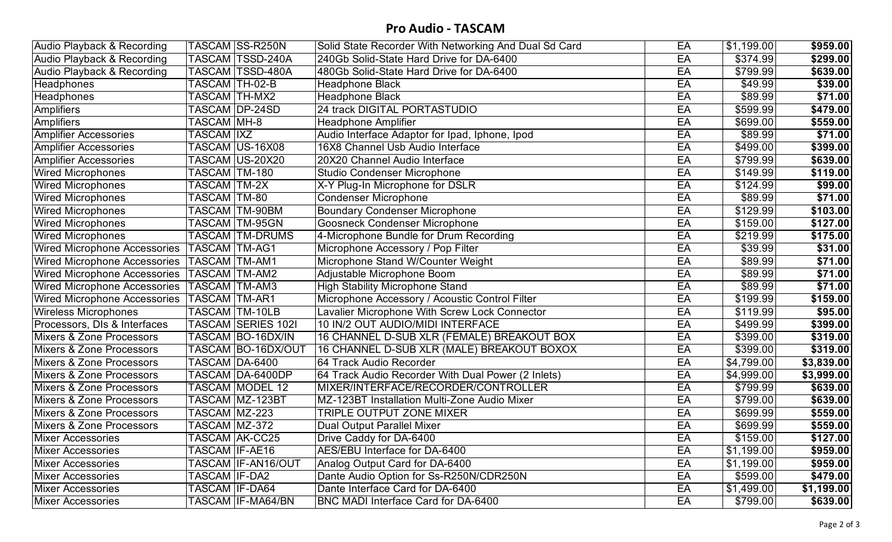## **Pro Audio - TASCAM**

| Audio Playback & Recording                     |                     | TASCAM SS-R250N        | Solid State Recorder With Networking And Dual Sd Card | EA | \$1,199.00           | \$959.00   |
|------------------------------------------------|---------------------|------------------------|-------------------------------------------------------|----|----------------------|------------|
| <b>Audio Playback &amp; Recording</b>          |                     | TASCAM   TSSD-240A     | 240Gb Solid-State Hard Drive for DA-6400              | EA | \$374.99             | \$299.00   |
| Audio Playback & Recording                     |                     | TASCAM TSSD-480A       | 480Gb Solid-State Hard Drive for DA-6400              | EA | \$799.99             | \$639.00   |
| <b>Headphones</b>                              |                     | TASCAM TH-02-B         | Headphone Black                                       | EA | \$49.99              | \$39.00    |
| <b>Headphones</b>                              |                     | <b>TASCAM TH-MX2</b>   | <b>Headphone Black</b>                                | EA | \$89.99              | \$71.00    |
| <b>Amplifiers</b>                              |                     | TASCAM  DP-24SD        | 24 track DIGITAL PORTASTUDIO                          | EA | \$599.99             | \$479.00   |
| Amplifiers                                     | TASCAM MH-8         |                        | Headphone Amplifier                                   | EA | \$699.00             | \$559.00   |
| <b>Amplifier Accessories</b>                   | TASCAM <i>I</i> IXZ |                        | Audio Interface Adaptor for Ipad, Iphone, Ipod        | EA | \$89.99              | \$71.00    |
| <b>Amplifier Accessories</b>                   |                     | TASCAM  US-16X08       | 16X8 Channel Usb Audio Interface                      | EA | \$499.00             | \$399.00   |
| Amplifier Accessories                          |                     | TASCAM US-20X20        | 20X20 Channel Audio Interface                         | EA | \$799.99             | \$639.00   |
| <b>Wired Microphones</b>                       | TASCAM TM-180       |                        | <b>Studio Condenser Microphone</b>                    | EA | \$149.99             | \$119.00   |
| <b>Wired Microphones</b>                       | TASCAM TM-2X        |                        | X-Y Plug-In Microphone for DSLR                       | EA | \$124.99             | \$99.00    |
| <b>Wired Microphones</b>                       | TASCAM TM-80        |                        | Condenser Microphone                                  | EA | \$89.99              | \$71.00    |
| <b>Wired Microphones</b>                       |                     | <b>TASCAM</b> TM-90BM  | <b>Boundary Condenser Microphone</b>                  | EA | \$129.99             | \$103.00   |
| <b>Wired Microphones</b>                       |                     | <b>TASCAM TM-95GN</b>  | <b>Goosneck Condenser Microphone</b>                  | EA | \$159.00             | \$127.00   |
| <b>Wired Microphones</b>                       |                     | <b>TASCAM TM-DRUMS</b> | 4-Microphone Bundle for Drum Recording                | EA | \$219.99             | \$175.00   |
| Wired Microphone Accessories   TASCAM   TM-AG1 |                     |                        | Microphone Accessory / Pop Filter                     | EA | \$39.99              | \$31.00    |
| Wired Microphone Accessories   TASCAM   TM-AM1 |                     |                        | Microphone Stand W/Counter Weight                     | EA | \$89.99              | \$71.00    |
| Wired Microphone Accessories                   | TASCAM TM-AM2       |                        | Adjustable Microphone Boom                            | EA | \$89.99              | \$71.00    |
| Wired Microphone Accessories  TASCAM  TM-AM3   |                     |                        | High Stability Microphone Stand                       | EA | \$89.99              | \$71.00    |
| Wired Microphone Accessories   TASCAM   TM-AR1 |                     |                        | Microphone Accessory / Acoustic Control Filter        | EA | \$199.99             | \$159.00   |
| <b>Wireless Microphones</b>                    |                     | TASCAM TM-10LB         | Lavalier Microphone With Screw Lock Connector         | EA | \$119.99             | \$95.00    |
| Processors, DIs & Interfaces                   |                     | TASCAM SERIES 1021     | 10 IN/2 OUT AUDIO/MIDI INTERFACE                      | EA | \$499.99             | \$399.00   |
| <b>Mixers &amp; Zone Processors</b>            |                     | TASCAM BO-16DX/IN      | 16 CHANNEL D-SUB XLR (FEMALE) BREAKOUT BOX            | EA | \$399.00             | 3319.00    |
| <b>Mixers &amp; Zone Processors</b>            |                     | TASCAM  BO-16DX/OUT    | 16 CHANNEL D-SUB XLR (MALE) BREAKOUT BOXOX            | EA | $\overline{$}399.00$ | \$319.00   |
| <b>Mixers &amp; Zone Processors</b>            |                     | TASCAM DA-6400         | 64 Track Audio Recorder                               | EA | \$4,799.00           | \$3,839.00 |
| <b>Mixers &amp; Zone Processors</b>            |                     | TASCAM DA-6400DP       | 64 Track Audio Recorder With Dual Power (2 Inlets)    | EA | \$4,999.00           | \$3,999.00 |
| Mixers & Zone Processors                       |                     | TASCAM MODEL 12        | MIXER/INTERFACE/RECORDER/CONTROLLER                   | EA | \$799.99             | \$639.00   |
| <b>Mixers &amp; Zone Processors</b>            |                     | TASCAM MZ-123BT        | MZ-123BT Installation Multi-Zone Audio Mixer          | EA | \$799.00             | \$639.00   |
| <b>Mixers &amp; Zone Processors</b>            | TASCAM MZ-223       |                        | <b>TRIPLE OUTPUT ZONE MIXER</b>                       | EA | \$699.99             | \$559.00   |
| Mixers & Zone Processors                       | TASCAM MZ-372       |                        | Dual Output Parallel Mixer                            | EA | \$699.99             | \$559.00   |
| Mixer Accessories                              |                     | <b>TASCAM AK-CC25</b>  | Drive Caddy for DA-6400                               | EA | \$159.00             | \$127.00   |
| <b>Mixer Accessories</b>                       | TASCAM IF-AE16      |                        | AES/EBU Interface for DA-6400                         | EA | \$1,199.00           | \$959.00   |
| <b>Mixer Accessories</b>                       |                     | TASCAM IF-AN16/OUT     | Analog Output Card for DA-6400                        | EA | \$1,199.00           | \$959.00   |
| <b>Mixer Accessories</b>                       | TASCAM IF-DA2       |                        | Dante Audio Option for Ss-R250N/CDR250N               | EA | \$599.00             | \$479.00   |
| <b>Mixer Accessories</b>                       |                     | TASCAM IF-DA64         | Dante Interface Card for DA-6400                      | EA | \$1,499.00           | \$1,199.00 |
| <b>Mixer Accessories</b>                       |                     | TASCAM IF-MA64/BN      | <b>BNC MADI Interface Card for DA-6400</b>            | EA | \$799.00             | \$639.00   |